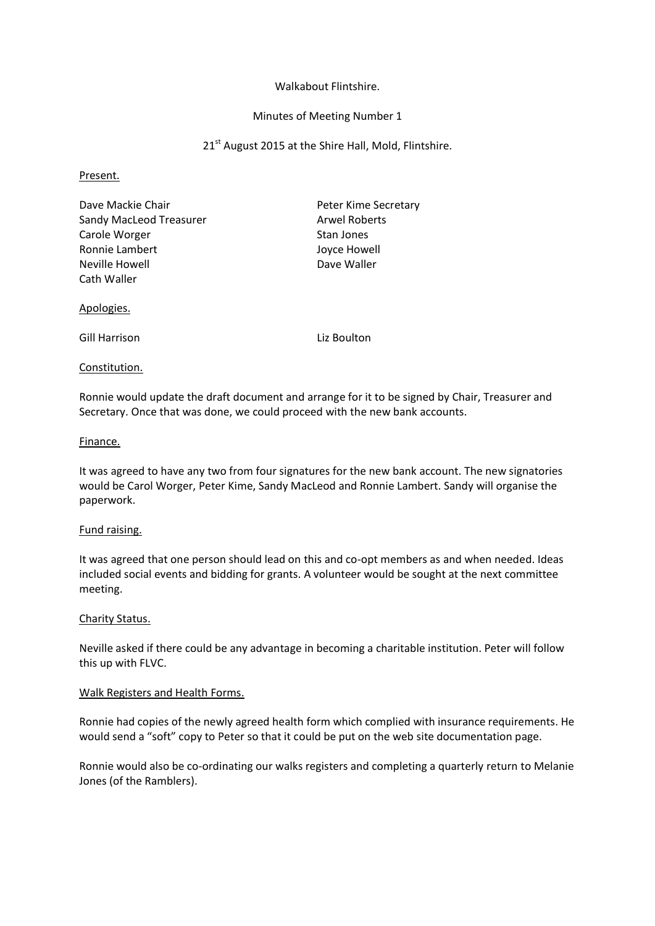## Walkabout Flintshire.

# Minutes of Meeting Number 1

21<sup>st</sup> August 2015 at the Shire Hall, Mold, Flintshire.

#### Present.

| Dave Mackie Chair       | Peter Kime Secretary |
|-------------------------|----------------------|
| Sandy MacLeod Treasurer | <b>Arwel Roberts</b> |
| Carole Worger           | Stan Jones           |
| Ronnie Lambert          | Joyce Howell         |
| Neville Howell          | Dave Waller          |
| Cath Waller             |                      |
|                         |                      |

#### Apologies.

Gill Harrison Liz Boulton

## Constitution.

Ronnie would update the draft document and arrange for it to be signed by Chair, Treasurer and Secretary. Once that was done, we could proceed with the new bank accounts.

## Finance.

It was agreed to have any two from four signatures for the new bank account. The new signatories would be Carol Worger, Peter Kime, Sandy MacLeod and Ronnie Lambert. Sandy will organise the paperwork.

# Fund raising.

It was agreed that one person should lead on this and co-opt members as and when needed. Ideas included social events and bidding for grants. A volunteer would be sought at the next committee meeting.

# Charity Status.

Neville asked if there could be any advantage in becoming a charitable institution. Peter will follow this up with FLVC.

#### Walk Registers and Health Forms.

Ronnie had copies of the newly agreed health form which complied with insurance requirements. He would send a "soft" copy to Peter so that it could be put on the web site documentation page.

Ronnie would also be co-ordinating our walks registers and completing a quarterly return to Melanie Jones (of the Ramblers).